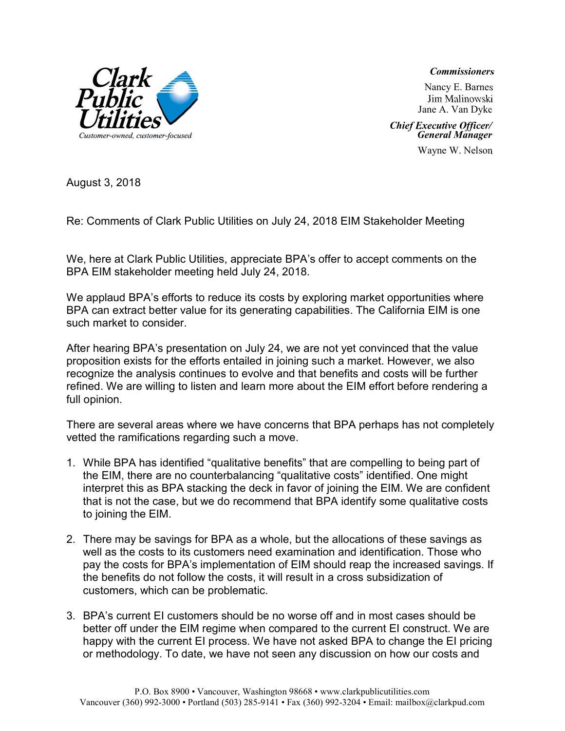## **Commissioners**

 Jim Malinowski Jane A. Van Dyke Nancy E. Barnes

 Chief Executive Officer/ General Manager

Wayne W. Nelson

August 3, 2018

Re: Comments of Clark Public Utilities on July 24, 2018 EIM Stakeholder Meeting

We, here at Clark Public Utilities, appreciate BPA's offer to accept comments on the BPA EIM stakeholder meeting held July 24, 2018.

We applaud BPA's efforts to reduce its costs by exploring market opportunities where BPA can extract better value for its generating capabilities. The California EIM is one such market to consider.

After hearing BPA's presentation on July 24, we are not yet convinced that the value proposition exists for the efforts entailed in joining such a market. However, we also recognize the analysis continues to evolve and that benefits and costs will be further refined. We are willing to listen and learn more about the EIM effort before rendering a full opinion.

There are several areas where we have concerns that BPA perhaps has not completely vetted the ramifications regarding such a move.

- 1. While BPA has identified "qualitative benefits" that are compelling to being part of the EIM, there are no counterbalancing "qualitative costs" identified. One might interpret this as BPA stacking the deck in favor of joining the EIM. We are confident that is not the case, but we do recommend that BPA identify some qualitative costs to joining the EIM.
- 2. There may be savings for BPA as a whole, but the allocations of these savings as well as the costs to its customers need examination and identification. Those who pay the costs for BPA's implementation of EIM should reap the increased savings. If the benefits do not follow the costs, it will result in a cross subsidization of customers, which can be problematic.
- 3. BPA's current EI customers should be no worse off and in most cases should be better off under the EIM regime when compared to the current EI construct. We are happy with the current EI process. We have not asked BPA to change the EI pricing or methodology. To date, we have not seen any discussion on how our costs and